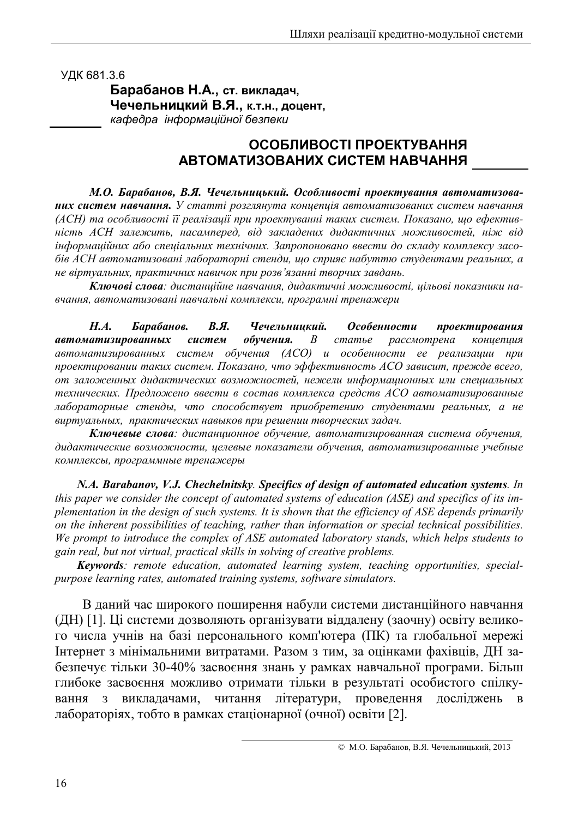УДК 681.3.6

 $A$ , ст. викладач, **Чечельницкий В.Я., к.т.н., доцент,** кафедра інформаційної безпеки

# **ОСОБЛИВОСТІ ПРОЕКТУВАННЯ ABTOMATИЗОВАНИХ СИСТЕМ НАВЧАННЯ**

М.О. Барабанов, В.Я. Чечельницький. Особливості проектування автоматизованих систем навчання. У статті розглянута концепція автоматизованих систем навчання (АСН) та особливості її реалізації при проектуванні таких систем. Показано, що ефектив- $\vec{A}$  *EH* залежить, насамперед, від закладених дидактичних можливостей, ніж від *inформаційних або спеціальних технічних. Запропоновано ввести до складу комплексу засо-* $\delta$ *iв ACH автоматизовані лабораторні стенди, що сприяє набуттю студентами реальних, а*  $\mu$ е віртуальних, практичних навичок при розв'язанні творчих завдань.

Ключові слова: дистанційне навчання, дидактичні можливості, цільові показники навчання, автоматизовані навчальні комплекси, програмні тренажери

*Н.А.* Барабанов. В.Я. Чечельниикий. бенности про ектирования автоматизированных систем о *обучения.* В статье рассмотрена концепция  $\alpha$ втоматизированных систем обучения (ACO) и особенности ее реализации при проектировании таких систем. Показано, что эффективность ACO зависит, прежде всего, от заложенных дидактических возможностей, нежели информационных или специальных *mexнических. Предложено ввести в состав комплекса средств АСО автоматизированные* лабораторные стенды, что способствует приобретению студентами реальных, а не  $\alpha$  *виртуальных, практических навыков при решении творческих задач.* 

Ключевые слова: дистанционное обучение, автоматизированная система обучения,  $\partial$ идактические возможности, целевые показатели обучения, автоматизированные учебные комплексы, программные тренажеры

*N.A. Barabanov, V.J. Chechelnitsky. Specifics of design of automated education systems. In this paper we consider the concept of automated systems of education (ASE) and specifics of its implementation in the design of such systems. It is shown that the efficiency of ASE depends primarily on the inherent possibilities of teaching, rather than information or special technical possibilities. We prompt to introduce the complex of ASE automated laboratory stands, which helps students to gain real, but not virtual, practical skills in solving of creative problems.* 

*Keywords: remote education, automated learning system, teaching opportunities, specialpurpose learning rates, automated training systems, software simulators.* 

В даний час широкого поширення набули системи дистанційного навчання (ДН) [1]. Ці системи дозволяють організувати віддалену (заочну) освіту великого числа учнів на базі персонального комп'ютера (ПК) та глобальної мережі Інтернет з мінімальними витратами. Разом з тим, за оцінками фахівців, ДН забезпечує тільки 30-40% засвоєння знань у рамках навчальної програми. Більш глибоке засвоєння можливо отримати тільки в результаті особистого спілкування з викладачами, адачами, читання лі тератури, проведення досліджень в лабораторіях, тобто в рамках стаціонарної (очної) освіти [2].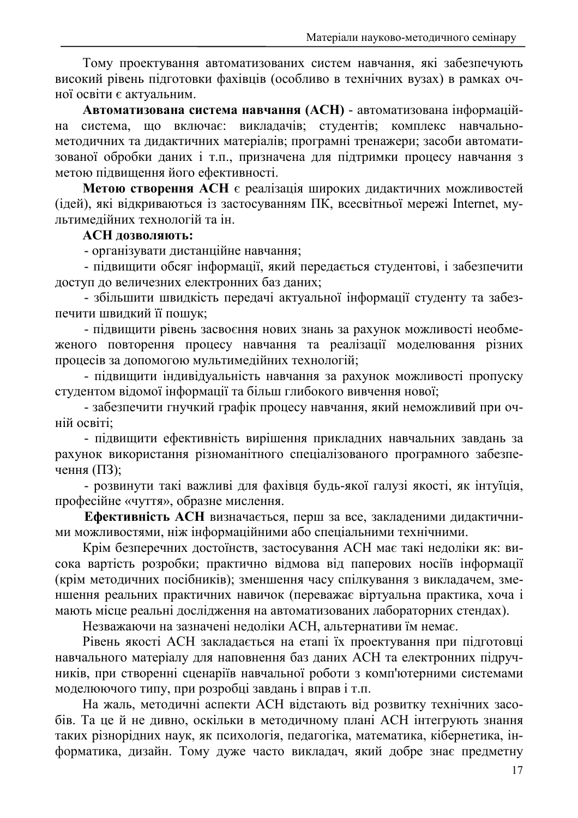Тому проектування автоматизованих систем навчання, які забезпечують високий рівень підготовки фахівців (особливо в технічних вузах) в рамках очної освіти є актуальним.

Автоматизована система навчання (АСН) - автоматизована інформаційна система, що включає: викладачів; студентів; комплекс навчальнометодичних та дидактичних матеріалів; програмні тренажери; засоби автоматизованої обробки даних і т.п., призначена для підтримки процесу навчання з метою підвищення його ефективності.

Метою створення АСН є реалізація широких дидактичних можливостей (ідей), які відкриваються із застосуванням ПК, всесвітньої мережі Internet, мультимелійних технологій та ін.

## АСН дозволяють:

- організувати дистанційне навчання;

- підвищити обсяг інформації, який передається студентові, і забезпечити доступ до величезних електронних баз даних;

- збільшити швидкість передачі актуальної інформації студенту та забезпечити швидкий її пошук;

- підвищити рівень засвоєння нових знань за рахунок можливості необмеженого повторення процесу навчання та реалізації моделювання різних процесів за допомогою мультимедійних технологій;

- підвищити індивідуальність навчання за рахунок можливості пропуску студентом відомої інформації та більш глибокого вивчення нової;

- забезпечити гнучкий графік процесу навчання, який неможливий при очній освіті:

- підвищити ефективність вирішення прикладних навчальних завдань за рахунок використання різноманітного спеціалізованого програмного забезпечення  $(\Pi 3)$ ;

- розвинути такі важливі для фахівця будь-якої галузі якості, як інтуїція, професійне «чуття», образне мислення.

Ефективність АСН визначається, перш за все, закладеними дидактичними можливостями, ніж інформаційними або спеціальними технічними.

Крім безперечних достоїнств, застосування АСН має такі недоліки як: висока вартість розробки; практично відмова від паперових носіїв інформації (крім методичних посібників); зменшення часу спілкування з викладачем, зменшення реальних практичних навичок (переважає віртуальна практика, хоча і мають місце реальні дослідження на автоматизованих лабораторних стендах).

Незважаючи на зазначені недоліки АСН, альтернативи їм немає.

Рівень якості АСН закладається на етапі їх проектування при підготовці навчального матеріалу для наповнення баз даних АСН та електронних підручників, при створенні сценаріїв навчальної роботи з комп'ютерними системами моделюючого типу, при розробці завдань і вправ і т.п.

На жаль, методичні аспекти АСН відстають від розвитку технічних засобів. Та це й не дивно, оскільки в методичному плані АСН інтегрують знання таких різнорідних наук, як психологія, педагогіка, математика, кібернетика, інформатика, дизайн. Тому дуже часто викладач, який добре знае предметну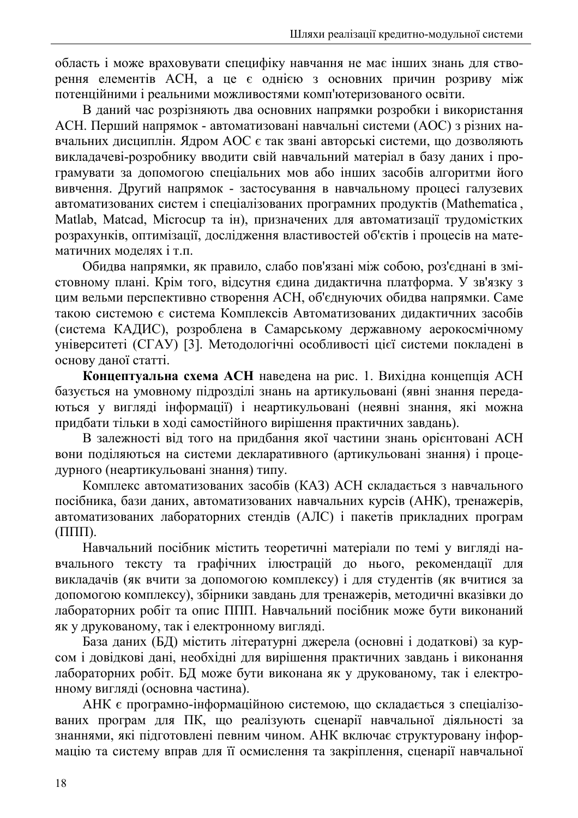область і може враховувати специфіку навчання не має інших знань для створення елементів АСН, а це є однією з основних причин розриву між потенційними і реальними можливостями комп'ютеризованого освіти.

В даний час розрізняють два основних напрямки розробки і використання АСН. Перший напрямок - автоматизовані навчальні системи (АОС) з різних навчальних дисциплін. Ядром АОС є так звані авторські системи, що дозволяють викладачеві-розробнику вводити свій навчальний матеріал в базу даних і програмувати за допомогою спеціальних мов або інших засобів алгоритми його вивчення. Другий напрямок - застосування в навчальному процесі галузевих автоматизованих систем і спеціалізованих програмних продуктів (Mathematica, Matlab, Matcad, Microcup та ін), призначених для автоматизації трудомістких розрахунків, оптимізації, дослідження властивостей об'єктів і процесів на математичних молелях і т.п.

Обидва напрямки, як правило, слабо пов'язані між собою, роз'єднані в змістовному плані. Крім того, відсутня єдина дидактична платформа. У зв'язку з цим вельми перспективно створення АСН, об'єднуючих обидва напрямки. Саме такою системою є система Комплексів Автоматизованих дидактичних засобів (система КАДИС), розроблена в Самарському державному аерокосмічному університеті (СГАУ) [3]. Методологічні особливості цієї системи покладені в основу даної статті.

Концептуальна схема АСН наведена на рис. 1. Вихідна концепція АСН базується на умовному підрозділі знань на артикульовані (явні знання передаються у вигляді інформації) і неартикульовані (неявні знання, які можна придбати тільки в ході самостійного вирішення практичних завдань).

В залежності від того на придбання якої частини знань орієнтовані АСН вони поділяються на системи декларативного (артикульовані знання) і процедурного (неартикульовані знання) типу.

Комплекс автоматизованих засобів (КАЗ) АСН складається з навчального посібника, бази даних, автоматизованих навчальних курсів (АНК), тренажерів, автоматизованих лабораторних стендів (АЛС) і пакетів прикладних програм  $(\Pi\Pi\Pi)$ .

Навчальний посібник містить теоретичні матеріали по темі у вигляді навчального тексту та графічних ілюстрацій до нього, рекомендації для викладачів (як вчити за допомогою комплексу) і для студентів (як вчитися за допомогою комплексу), збірники завдань для тренажерів, методичні вказівки до лабораторних робіт та опис ППП. Навчальний посібник може бути виконаний як у друкованому, так і електронному вигляді.

База даних (БД) містить літературні джерела (основні і додаткові) за курсом і довідкові дані, необхідні для вирішення практичних завдань і виконання лабораторних робіт. БД може бути виконана як у друкованому, так і електронному виглялі (основна частина).

АНК є програмно-інформаційною системою, що складається з спеціалізованих програм для ПК, що реалізують сценарії навчальної діяльності за знаннями, які підготовлені певним чином. АНК включає структуровану інформацію та систему вправ для її осмислення та закріплення, сценарії навчальної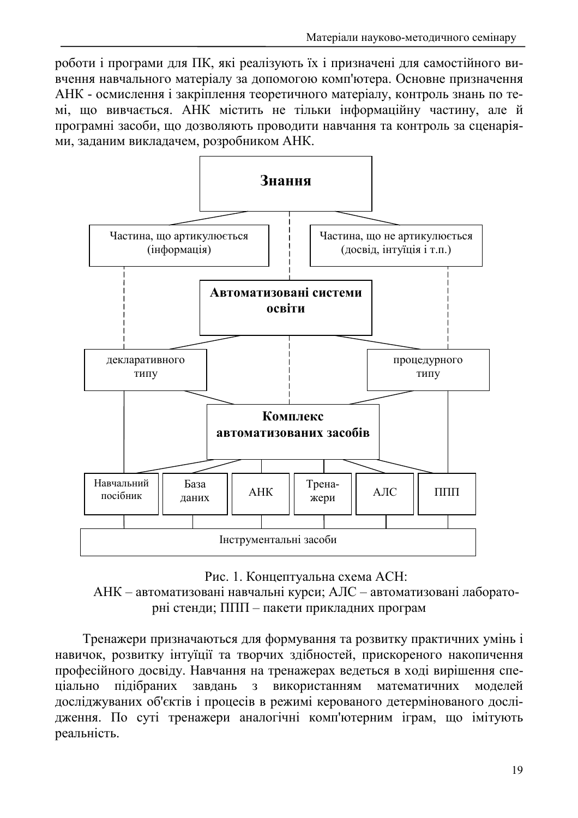роботи і програми для ПК, які реалізують їх і призначені для самостійного вивчення навчального матеріалу за допомогою комп'ютера. Основне призначення АНК - осмислення і закріплення теоретичного матеріалу, контроль знань по темі, що вивчається. АНК містить не тільки інформаційну частину, але й програмні засоби, що дозволяють проводити навчання та контроль за сценаріями, заданим викладачем, розробником АНК.



Рис. 1. Концептуальна схема АСН:

АНК - автоматизовані навчальні курси; АЛС - автоматизовані лабораторні стенди; ППП - пакети прикладних програм

Тренажери призначаються для формування та розвитку практичних умінь і навичок, розвитку інтуїції та творчих здібностей, прискореного накопичення професійного досвіду. Навчання на тренажерах ведеться в ході вирішення спепілібраних завлань з використанням математичних ціально молелей досліджуваних об'єктів і процесів в режимі керованого детермінованого дослідження. По суті тренажери аналогічні комп'ютерним іграм, що імітують реальність.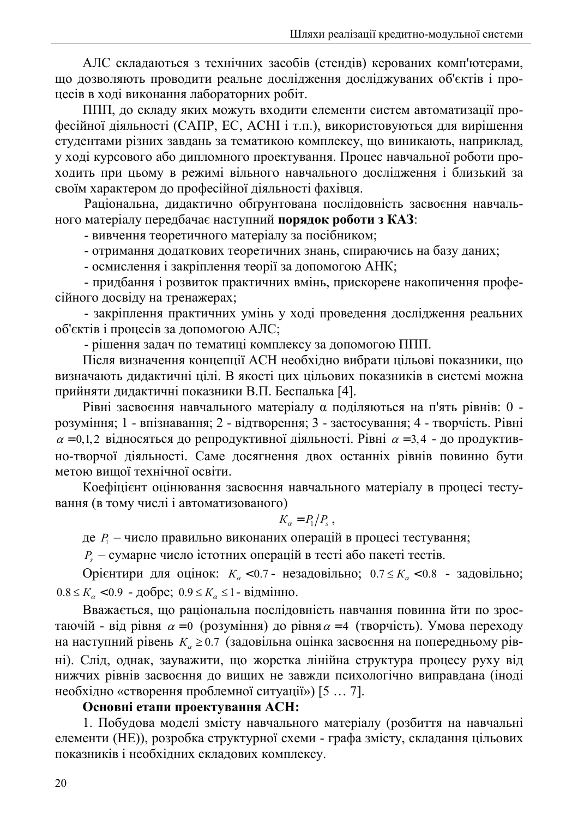АЛС складаються з технічних засобів (стендів) керованих комп'ютерами. що дозволяють проводити реальне дослідження досліджуваних об'єктів і процесів в ході виконання лабораторних робіт.

ППП, до складу яких можуть входити елементи систем автоматизації професійної діяльності (САПР, ЕС, АСНІ і т.п.), використовуються для вирішення студентами різних завдань за тематикою комплексу, що виникають, наприклад, у ході курсового або дипломного проектування. Процес навчальної роботи проходить при цьому в режимі вільного навчального дослідження і близький за своїм характером до професійної діяльності фахівця.

Раціональна, дидактично обтрунтована послідовність засвоєння навчального матеріалу передбачає наступний порядок роботи з КАЗ:

- вивчення теоретичного матеріалу за посібником;

- отримання додаткових теоретичних знань, спираючись на базу даних;

- осмислення і закріплення теорії за допомогою АНК;

- придбання і розвиток практичних вмінь, прискорене накопичення професійного досвіду на тренажерах;

- закріплення практичних умінь у ході проведення дослідження реальних об'єктів і процесів за допомогою АЛС;

- рішення задач по тематиці комплексу за допомогою ППП.

Після визначення концепції АСН необхідно вибрати цільові показники, що визначають дидактичні цілі. В якості цих цільових показників в системі можна прийняти дидактичні показники В.П. Беспалька [4].

Рівні засвоєння навчального матеріалу α поділяються на п'ять рівнів: 0 розуміння; 1 - впізнавання; 2 - відтворення; 3 - застосування; 4 - творчість. Рівні  $\alpha = 0, 1, 2$  відносяться до репродуктивної діяльності. Рівні  $\alpha = 3, 4$  - до продуктивно-творчої діяльності. Саме досягнення двох останніх рівнів повинно бути метою вишої технічної освіти.

Коефіцієнт оцінювання засвоєння навчального матеріалу в процесі тестування (в тому числі і автоматизованого)

$$
K_{\alpha} = P_1/P_s,
$$

де  $P_1$  – число правильно виконаних операцій в процесі тестування;

 $P_s$  – сумарне число істотних операцій в тесті або пакеті тестів.

Орієнтири для оцінок:  $K_{\alpha}$  <0.7 - незадовільно; 0.7  $\leq K_{\alpha}$  <0.8 - задовільно;  $0.8 \le K_{\alpha}$  <0.9 - добре; 0.9 ≤  $K_{\alpha}$  ≤ 1 - відмінно.

Вважається, що раціональна послідовність навчання повинна йти по зростаючій - від рівня  $\alpha = 0$  (розуміння) до рівня  $\alpha = 4$  (творчість). Умова переходу на наступний рівень  $K_{\alpha} \ge 0.7$  (задовільна оцінка засвоєння на попередньому рівні). Слід, однак, зауважити, що жорстка лінійна структура процесу руху від нижчих рівнів засвоєння до вищих не завжди психологічно виправдана (іноді необхідно «створення проблемної ситуації») [5 ... 7].

#### Основні етапи проектування АСН:

1. Побудова моделі змісту навчального матеріалу (розбиття на навчальні елементи (HE)), розробка структурної схеми - графа змісту, складання цільових показників і необхідних складових комплексу.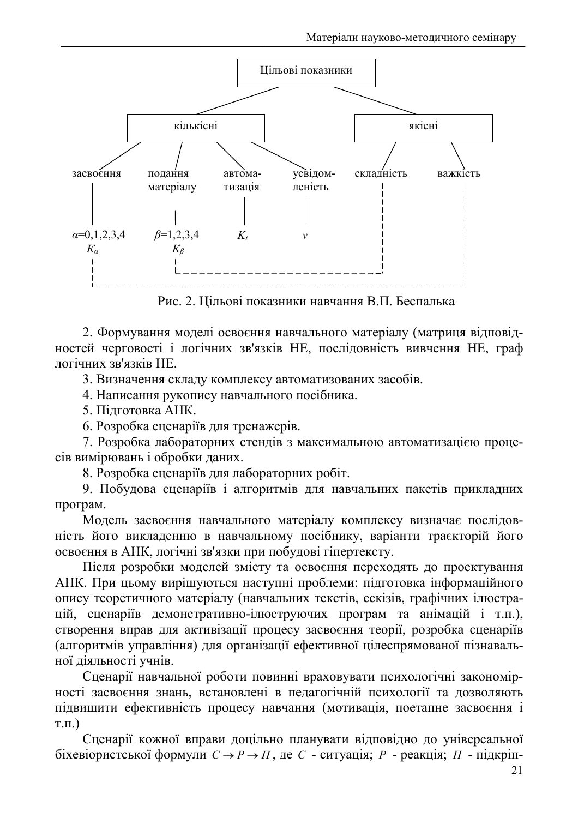

Рис. 2. Цільові показники навчання В.П. Беспалька

2. Формування моделі освоєння навчального матеріалу (матриця відповідностей черговості і логічних зв'язків НЕ, послідовність вивчення НЕ, граф логічних зв'язків НЕ.

3. Визначення складу комплексу автоматизованих засобів.

4. Написання рукопису навчального посібника.

5. Підготовка АНК.

6. Розробка сценаріїв для тренажерів.

7. Розробка лабораторних стендів з максимальною автоматизацією процесів вимірювань і обробки даних.

8. Розробка сценаріїв для лабораторних робіт.

9. Побудова сценаріїв і алгоритмів для навчальних пакетів прикладних програм.

Модель засвоєння навчального матеріалу комплексу визначає послідовність його викладенню в навчальному посібнику, варіанти траєкторій його освоєння в АНК, логічні зв'язки при побудові гіпертексту.

Після розробки моделей змісту та освоєння переходять до проектування АНК. При цьому вирішуються наступні проблеми: підготовка інформаційного опису теоретичного матеріалу (навчальних текстів, ескізів, графічних ілюстрацій, сценаріїв демонстративно-ілюструючих програм та анімацій і т.п.), створення вправ для активізації процесу засвоєння теорії, розробка сценаріїв (алгоритмів управління) для організації ефективної цілеспрямованої пізнавальної діяльності учнів.

Сценарії навчальної роботи повинні враховувати психологічні закономірності засвоєння знань, встановлені в педагогічній психології та дозволяють підвищити ефективність процесу навчання (мотивація, поетапне засвоєння і  $T.\Pi.$ )

Сценарії кожної вправи доцільно планувати відповідно до універсальної біхевіористської формули  $C \rightarrow P \rightarrow \Pi$ , де C - ситуація; P - реакція;  $\Pi$  - підкріп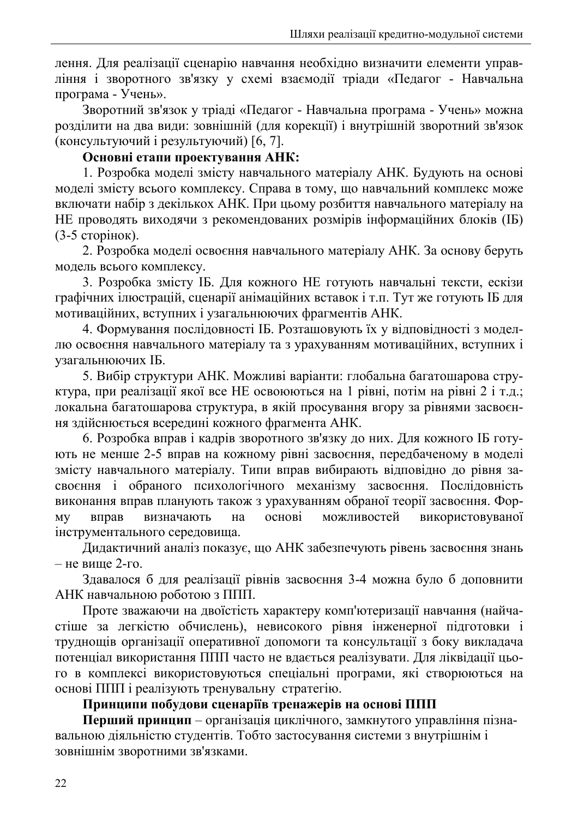лення. Для реалізації сценарію навчання необхідно визначити елементи управління і зворотного зв'язку у схемі взаємодії тріади «Педагог - Навчальна програма - Учень».

Зворотний зв'язок у тріаді «Педагог - Навчальна програма - Учень» можна розділити на два види: зовнішній (для корекції) і внутрішній зворотний зв'язок (консультуючий і результуючий) [6, 7].

## Основні етапи проектування АНК:

1. Розробка моделі змісту навчального матеріалу АНК. Будують на основі моделі змісту всього комплексу. Справа в тому, що навчальний комплекс може включати набір з декількох АНК. При цьому розбиття навчального матеріалу на НЕ проводять виходячи з рекомендованих розмірів інформаційних блоків (IБ)  $(3-5$  сторінок).

2. Розробка моделі освоєння навчального матеріалу АНК. За основу беруть модель всього комплексу.

3. Розробка змісту ІБ. Для кожного НЕ готують навчальні тексти, ескізи графічних ілюстрацій, сценарії анімаційних вставок і т.п. Тут же готують ІБ для мотиваційних, вступних і узагальнюючих фрагментів АНК.

4. Формування послідовності ІБ. Розташовують їх у відповідності з моделлю освоєння навчального матеріалу та з урахуванням мотиваційних, вступних і узагальнюючих IБ.

5. Вибір структури АНК. Можливі варіанти: глобальна багатошарова структура, при реалізації якої все НЕ освоюються на 1 рівні, потім на рівні 2 і т.д.; локальна багатошарова структура, в якій просування вгору за рівнями засвоєння здійснюється всередині кожного фрагмента АНК.

6. Розробка вправ і кадрів зворотного зв'язку до них. Для кожного ІБ готують не менше 2-5 вправ на кожному рівні засвоєння, передбаченому в моделі змісту навчального матеріалу. Типи вправ вибирають відповідно до рівня засвоєння і обраного психологічного механізму засвоєння. Послідовність виконання вправ планують також з урахуванням обраної теорії засвоєння. Форвизначають на основі можливостей використовуваної вправ **MV** інструментального середовища.

Дидактичний аналіз показує, що АНК забезпечують рівень засвоєння знань  $-$  не вище 2-го.

Здавалося б для реалізації рівнів засвоєння 3-4 можна було б доповнити АНК навчальною роботою з ППП.

Проте зважаючи на двоїстість характеру комп'ютеризації навчання (найчастіше за легкістю обчислень), невисокого рівня інженерної підготовки і труднощів організації оперативної допомоги та консультації з боку викладача потенціал використання ППП часто не вдається реалізувати. Для ліквідації цього в комплексі використовуються спеціальні програми, які створюються на основі ППП і реалізують тренувальну стратегію.

# Принципи побудови сценаріїв тренажерів на основі ППП

Перший принцип - організація циклічного, замкнутого управління пізнавальною діяльністю студентів. Тобто застосування системи з внутрішнім і зовнішнім зворотними зв'язками.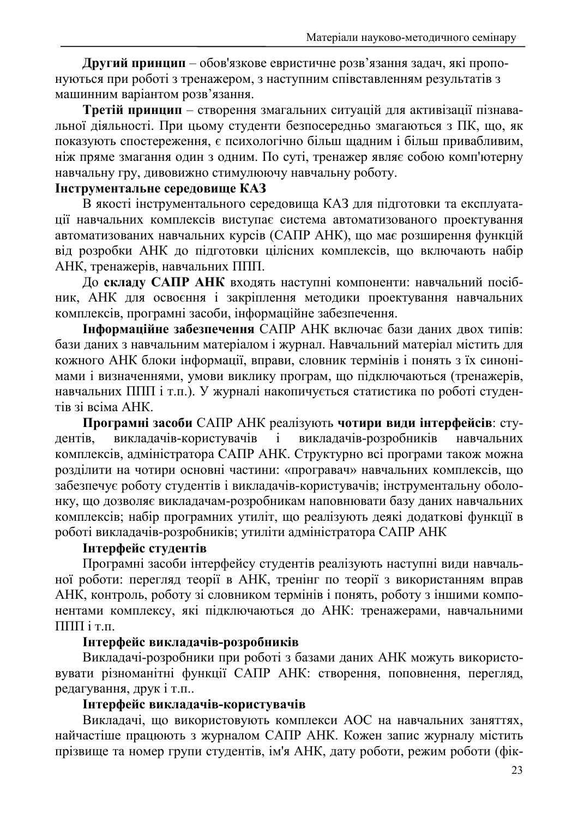Другий принцип - обов'язкове евристичне розв'язання задач, які пропонуються при роботі з тренажером, з наступним співставленням результатів з машинним варіантом розв'язання.

Третій принцип - створення змагальних ситуацій для активізації пізнавальної діяльності. При цьому студенти безпосередньо змагаються з ПК, що, як показують спостереження, є психологічно більш щадним і більш привабливим, ніж пряме змагання один з одним. По суті, тренажер являє собою комп'ютерну навчальну гру, дивовижно стимулюючу навчальну роботу.

# Інструментальне середовище КАЗ

В якості інструментального середовища КАЗ для підготовки та експлуатації навчальних комплексів виступає система автоматизованого проектування автоматизованих навчальних курсів (САПР АНК), що має розширення функцій від розробки АНК до підготовки цілісних комплексів, що включають набір АНК, тренажерів, навчальних ППП.

До складу САПР АНК входять наступні компоненти: навчальний посібник, АНК для освоєння і закріплення методики проектування навчальних комплексів, програмні засоби, інформаційне забезпечення.

Інформаційне забезпечення САПР АНК включає бази даних двох типів: бази даних з навчальним матеріалом і журнал. Навчальний матеріал містить для кожного АНК блоки інформації, вправи, словник термінів і понять з їх синонімами і визначеннями, умови виклику програм, що підключаються (тренажерів, навчальних ППП і т.п.). У журналі накопичується статистика по роботі студентів зі всіма АНК.

Програмні засоби САПР АНК реалізують чотири види інтерфейсів: стувикладачів-користувачів викладачів-розробників дентів.  $\mathbf{i}$ навчальних комплексів, адміністратора САПР АНК. Структурно всі програми також можна розділити на чотири основні частини: «програвач» навчальних комплексів, що забезпечує роботу студентів і викладачів-користувачів; інструментальну оболонку, що дозволяє викладачам-розробникам наповнювати базу даних навчальних комплексів; набір програмних утиліт, що реалізують деякі додаткові функції в роботі викладачів-розробників; утиліти адміністратора САПР АНК

# Інтерфейс студентів

Програмні засоби інтерфейсу студентів реалізують наступні види навчальної роботи: перегляд теорії в АНК, тренінг по теорії з використанням вправ АНК, контроль, роботу зі словником термінів і понять, роботу з іншими компонентами комплексу, які підключаються до АНК: тренажерами, навчальними  $\Pi\Pi\Pi$ i $\Pi$ 

## Інтерфейс викладачів-розробників

Викладачі-розробники при роботі з базами даних АНК можуть використовувати різноманітні функції САПР АНК: створення, поповнення, перегляд, редагування, друк і т.п..

# Інтерфейс викладачів-користувачів

Викладачі, що використовують комплекси АОС на навчальних заняттях, найчастіше працюють з журналом САПР АНК. Кожен запис журналу містить прізвище та номер групи студентів, ім'я АНК, дату роботи, режим роботи (фік